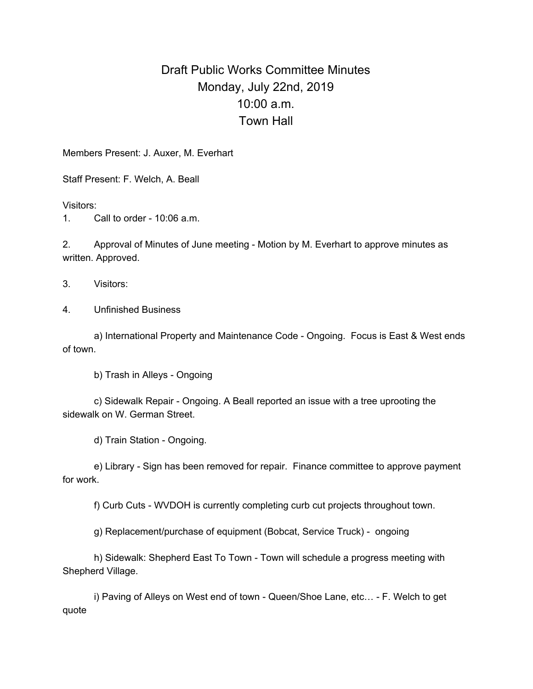## Draft Public Works Committee Minutes Monday, July 22nd, 2019 10:00 a.m. Town Hall

Members Present: J. Auxer, M. Everhart

Staff Present: F. Welch, A. Beall

Visitors:

1. Call to order - 10:06 a.m.

2. Approval of Minutes of June meeting - Motion by M. Everhart to approve minutes as written. Approved.

3. Visitors:

4. Unfinished Business

a) International Property and Maintenance Code - Ongoing. Focus is East & West ends of town.

b) Trash in Alleys - Ongoing

c) Sidewalk Repair - Ongoing. A Beall reported an issue with a tree uprooting the sidewalk on W. German Street.

d) Train Station - Ongoing.

e) Library - Sign has been removed for repair. Finance committee to approve payment for work.

f) Curb Cuts - WVDOH is currently completing curb cut projects throughout town.

g) Replacement/purchase of equipment (Bobcat, Service Truck) - ongoing

h) Sidewalk: Shepherd East To Town - Town will schedule a progress meeting with Shepherd Village.

i) Paving of Alleys on West end of town - Queen/Shoe Lane, etc… - F. Welch to get quote